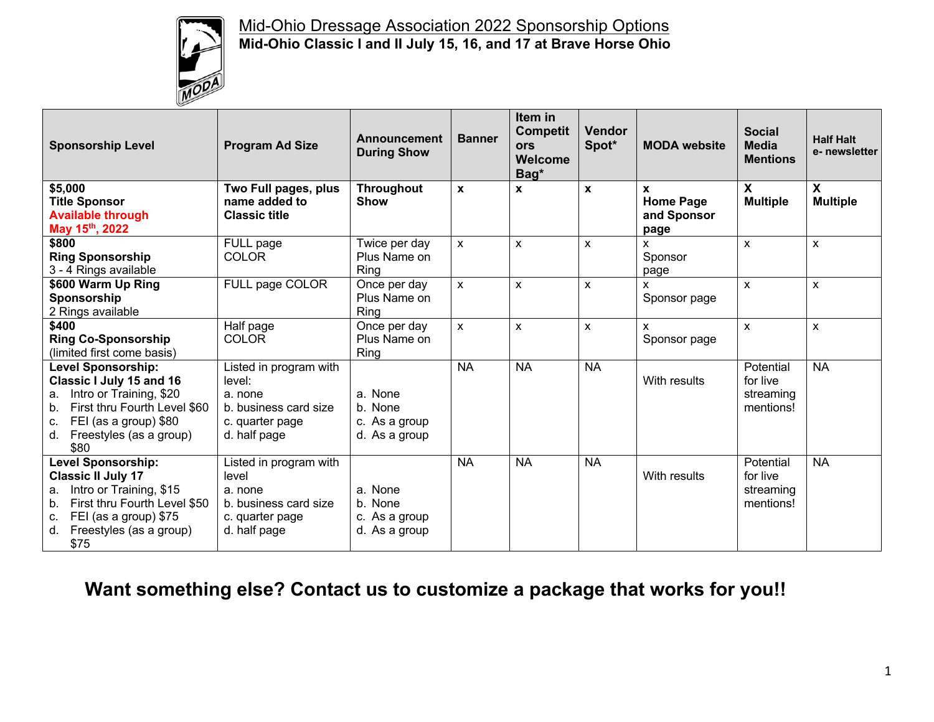

## Mid-Ohio Dressage Association 2022 Sponsorship Options **Mid-Ohio Classic I and II July 15, 16, and 17 at Brave Horse Ohio**

| <b>Sponsorship Level</b>                                                                                                                                                                                    | <b>Program Ad Size</b>                                                                                  | Announcement<br><b>During Show</b>                   | <b>Banner</b>      | Item in<br><b>Competit</b><br>ors<br><b>Welcome</b><br>Bag* | <b>Vendor</b><br>Spot* | <b>MODA</b> website                          | <b>Social</b><br><b>Media</b><br><b>Mentions</b> | <b>Half Halt</b><br>e- newsletter            |
|-------------------------------------------------------------------------------------------------------------------------------------------------------------------------------------------------------------|---------------------------------------------------------------------------------------------------------|------------------------------------------------------|--------------------|-------------------------------------------------------------|------------------------|----------------------------------------------|--------------------------------------------------|----------------------------------------------|
| \$5,000<br><b>Title Sponsor</b><br><b>Available through</b><br>May 15th, 2022                                                                                                                               | Two Full pages, plus<br>name added to<br><b>Classic title</b>                                           | Throughout<br><b>Show</b>                            | $\mathbf{x}$       | X                                                           | X                      | X<br><b>Home Page</b><br>and Sponsor<br>page | X<br><b>Multiple</b>                             | $\boldsymbol{\mathsf{X}}$<br><b>Multiple</b> |
| \$800<br><b>Ring Sponsorship</b><br>3 - 4 Rings available                                                                                                                                                   | FULL page<br><b>COLOR</b>                                                                               | Twice per day<br>Plus Name on<br>Ring                | $\mathsf{x}$       | $\pmb{\chi}$                                                | X                      | X<br>Sponsor<br>page                         | $\mathsf{x}$                                     | $\pmb{\times}$                               |
| \$600 Warm Up Ring<br>Sponsorship<br>2 Rings available                                                                                                                                                      | FULL page COLOR                                                                                         | Once per day<br>Plus Name on<br><b>Ring</b>          | $\pmb{\mathsf{X}}$ | X                                                           | X                      | X.<br>Sponsor page                           | $\mathsf{x}$                                     | $\mathsf{x}$                                 |
| \$400<br><b>Ring Co-Sponsorship</b><br>(limited first come basis)                                                                                                                                           | Half page<br><b>COLOR</b>                                                                               | Once per day<br>Plus Name on<br>Ring                 | $\pmb{\mathsf{X}}$ | $\mathsf{x}$                                                | X                      | X.<br>Sponsor page                           | $\mathsf{x}$                                     | $\mathsf{x}$                                 |
| <b>Level Sponsorship:</b><br><b>Classic I July 15 and 16</b><br>Intro or Training, \$20<br>a.<br>First thru Fourth Level \$60<br>b.<br>FEI (as a group) \$80<br>c.<br>Freestyles (as a group)<br>d.<br>\$80 | Listed in program with<br>level:<br>a. none<br>b. business card size<br>c. quarter page<br>d. half page | a. None<br>b. None<br>c. As a group<br>d. As a group | <b>NA</b>          | <b>NA</b>                                                   | <b>NA</b>              | With results                                 | Potential<br>for live<br>streaming<br>mentions!  | <b>NA</b>                                    |
| <b>Level Sponsorship:</b><br><b>Classic II July 17</b><br>Intro or Training, \$15<br>a.<br>First thru Fourth Level \$50<br>$b_{1}$<br>FEI (as a group) \$75<br>c.<br>Freestyles (as a group)<br>d.<br>\$75  | Listed in program with<br>level<br>a. none<br>b. business card size<br>c. quarter page<br>d. half page  | a. None<br>b. None<br>c. As a group<br>d. As a group | <b>NA</b>          | <b>NA</b>                                                   | <b>NA</b>              | With results                                 | Potential<br>for live<br>streaming<br>mentions!  | <b>NA</b>                                    |

# **Want something else? Contact us to customize a package that works for you!!**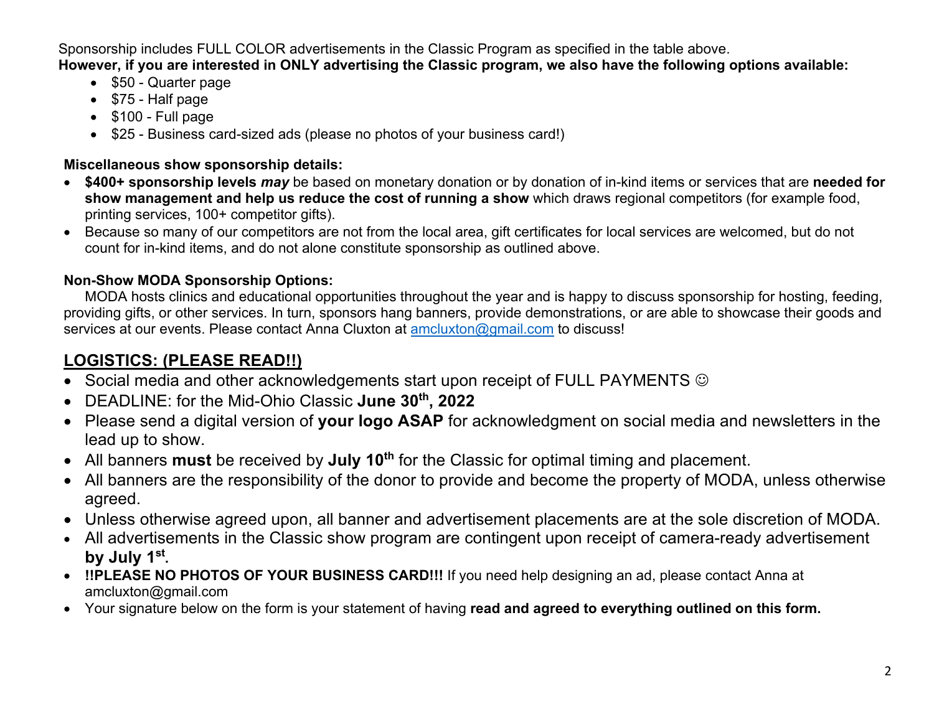Sponsorship includes FULL COLOR advertisements in the Classic Program as specified in the table above. **However, if you are interested in ONLY advertising the Classic program, we also have the following options available:**

- \$50 Quarter page
- \$75 Half page
- \$100 Full page
- \$25 Business card-sized ads (please no photos of your business card!)

#### **Miscellaneous show sponsorship details:**

- **\$400+ sponsorship levels** *may* be based on monetary donation or by donation of in-kind items or services that are **needed for show management and help us reduce the cost of running a show** which draws regional competitors (for example food, printing services, 100+ competitor gifts).
- Because so many of our competitors are not from the local area, gift certificates for local services are welcomed, but do not count for in-kind items, and do not alone constitute sponsorship as outlined above.

## **Non-Show MODA Sponsorship Options:**

MODA hosts clinics and educational opportunities throughout the year and is happy to discuss sponsorship for hosting, feeding, providing gifts, or other services. In turn, sponsors hang banners, provide demonstrations, or are able to showcase their goods and services at our events. Please contact Anna Cluxton at amcluxton@gmail.com to discuss!

# **LOGISTICS: (PLEASE READ!!)**

- Social media and other acknowledgements start upon receipt of FULL PAYMENTS  $\odot$
- DEADLINE: for the Mid-Ohio Classic **June 30th, 2022**
- Please send a digital version of **your logo ASAP** for acknowledgment on social media and newsletters in the lead up to show.
- All banners must be received by July 10<sup>th</sup> for the Classic for optimal timing and placement.
- All banners are the responsibility of the donor to provide and become the property of MODA, unless otherwise agreed.
- Unless otherwise agreed upon, all banner and advertisement placements are at the sole discretion of MODA.
- All advertisements in the Classic show program are contingent upon receipt of camera-ready advertisement **by July 1st.**
- **!!PLEASE NO PHOTOS OF YOUR BUSINESS CARD!!!** If you need help designing an ad, please contact Anna at amcluxton@gmail.com
- Your signature below on the form is your statement of having **read and agreed to everything outlined on this form.**